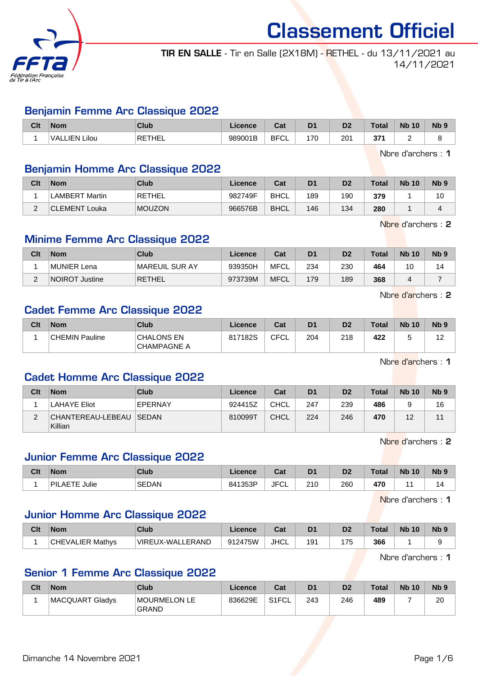

# TIR EN SALLE - Tir en Salle (2X18M) - RETHEL - du 13/11/2021 au 14/11/2021

## Benjamin Femme Arc Classique 2022

| Clt | <b>Nom</b>          | Club   | Licence | <b>DAL</b><br>ual | D <sub>1</sub> | n <sub>o</sub><br>ש    | Гоtа       | <b>Nb</b><br>10 | N <sub>b</sub> 9 |
|-----|---------------------|--------|---------|-------------------|----------------|------------------------|------------|-----------------|------------------|
|     | Lilou<br>IFN<br>VAL | RETHEL | 989001B | <b>BFC</b><br>◡└  | 7 <sup>c</sup> | $20^{\circ}$<br>$\sim$ | 371<br>vı. | -               |                  |

Nbre d'archers : 1

## Benjamin Homme Arc Classique 2022

| Clt | <b>Nom</b>            | Club          | Licence | Cat         | D <sub>1</sub> | D <sub>2</sub> | <b>Total</b> | <b>Nb 10</b> | N <sub>b</sub> <sub>9</sub> |
|-----|-----------------------|---------------|---------|-------------|----------------|----------------|--------------|--------------|-----------------------------|
|     | <b>LAMBERT Martin</b> | 'RETHEL       | 982749F | <b>BHCL</b> | 189            | 190            | 379          |              | 10                          |
| ⌒   | CLEMENT Louka         | <b>MOUZON</b> | 966576B | <b>BHCL</b> | 146            | 134            | 280          |              |                             |

Nbre d'archers : 2

## Minime Femme Arc Classique 2022

| Clt | <b>Nom</b>            | Club            | Licence | Cat         | D <sub>1</sub> | D <sub>2</sub> | <b>Total</b> | <b>Nb 10</b> | N <sub>b</sub> <sub>9</sub> |
|-----|-----------------------|-----------------|---------|-------------|----------------|----------------|--------------|--------------|-----------------------------|
|     | MUNIER Lena           | ∣MAREUIL SUR AY | 939350H | MFCL        | 234            | 230            | 464          | 10           | 14                          |
|     | <b>NOIROT Justine</b> | RETHEL          | 973739M | <b>MFCL</b> | 179            | 189            | 368          |              |                             |

Nbre d'archers : 2

## Cadet Femme Arc Classique 2022

| Clt | <b>Nom</b>     | Club                              | Licence | Cat  | D <sub>1</sub> | D <sub>2</sub> | Total | <b>Nb 10</b> | N <sub>b</sub> <sub>9</sub> |
|-----|----------------|-----------------------------------|---------|------|----------------|----------------|-------|--------------|-----------------------------|
|     | CHEMIN Pauline | <b>CHALONS EN</b><br>'CHAMPAGNE A | 817182S | CFCL | 204            | 218            | 422   | ີ            | 10<br>ے ا                   |

Nbre d'archers : 1

### Cadet Homme Arc Classique 2022

| Clt | <b>Nom</b>                           | Club    | Licence | Cat  | D <sub>1</sub> | D <sub>2</sub> | <b>Total</b> | <b>Nb 10</b> | N <sub>b</sub> <sub>9</sub> |
|-----|--------------------------------------|---------|---------|------|----------------|----------------|--------------|--------------|-----------------------------|
|     | <b>LAHAYE Eliot</b>                  | EPERNAY | 924415Z | CHCL | 247            | 239            | 486          |              | 16                          |
|     | CHANTEREAU-LEBEAU   SEDAN<br>Killian |         | 810099T | CHCL | 224            | 246            | 470          | 12           |                             |

Nbre d'archers : 2

## Junior Femme Arc Classique 2022

| Clt | <b>Nom</b>                   | <b>Club</b>  | Licence | <b>Cost</b><br>⊍d | D <sub>1</sub> | D <sub>2</sub> | <b>Total</b> | <b>N<sub>b</sub></b><br>10 | N <sub>b</sub> 9 |
|-----|------------------------------|--------------|---------|-------------------|----------------|----------------|--------------|----------------------------|------------------|
|     | .<br><b>PILAETE</b><br>Julie | <b>SEDAN</b> | 841353P | JFC'<br>ั∪∟       | 210<br>2 I V   | 260            | 470          |                            | 14               |

Nbre d'archers : 1

## Junior Homme Arc Classique 2022

| Clt | <b>Nom</b>                   | Club             | Licence | ∩~∙<br>ua | D <sub>1</sub> | D2  | Total | <b>Nb 10</b> | N <sub>b</sub> 9 |
|-----|------------------------------|------------------|---------|-----------|----------------|-----|-------|--------------|------------------|
|     | <b>CHEVALIER</b><br>R Mathvs | VIREUX-WALLERAND | 912475W | JHCL      | 191            | 175 | 366   |              |                  |

Nbre d'archers : 1

## Senior 1 Femme Arc Classique 2022

| Clt | <b>Nom</b>      | Club                                | Licence | Cat   | D <sub>1</sub> | D <sub>2</sub> | <b>Total</b> | <b>Nb 10</b> | N <sub>b</sub> <sub>9</sub> |
|-----|-----------------|-------------------------------------|---------|-------|----------------|----------------|--------------|--------------|-----------------------------|
|     | MACQUART Gladys | <b>MOURMELON LE</b><br><b>GRAND</b> | 836629E | S1FCL | 243            | 246            | 489          |              | 20                          |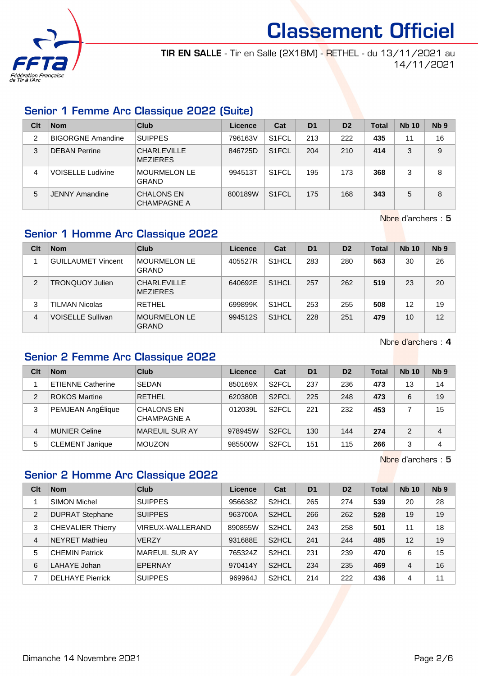

TIR EN SALLE - Tir en Salle (2X18M) - RETHEL - du 13/11/2021 au 14/11/2021

# Senior 1 Femme Arc Classique 2022 (Suite)

| Clt | <b>Nom</b>               | Club                                    | Licence | Cat                | D <sub>1</sub> | D <sub>2</sub> | Total | <b>Nb 10</b> | Nb <sub>9</sub> |
|-----|--------------------------|-----------------------------------------|---------|--------------------|----------------|----------------|-------|--------------|-----------------|
| 2   | <b>BIGORGNE Amandine</b> | <b>SUIPPES</b>                          | 796163V | S <sub>1</sub> FCL | 213            | 222            | 435   | 11           | 16              |
| 3   | <b>DEBAN Perrine</b>     | <b>CHARLEVILLE</b><br><b>MEZIERES</b>   | 846725D | S <sub>1</sub> FCL | 204            | 210            | 414   | 3            | 9               |
| 4   | <b>VOISELLE Ludivine</b> | <b>MOURMELON LE</b><br><b>GRAND</b>     | 994513T | S <sub>1</sub> FCL | 195            | 173            | 368   | 3            | 8               |
| 5   | <b>JENNY Amandine</b>    | <b>CHALONS EN</b><br><b>CHAMPAGNE A</b> | 800189W | S <sub>1</sub> FCL | 175            | 168            | 343   | 5            | 8               |

Nbre d'archers : 5

# Senior 1 Homme Arc Classique 2022

| Clt | <b>Nom</b>                | Club                                  | Licence | Cat                | D <sub>1</sub> | D <sub>2</sub> | Total | <b>Nb 10</b> | N <sub>b</sub> <sub>9</sub> |
|-----|---------------------------|---------------------------------------|---------|--------------------|----------------|----------------|-------|--------------|-----------------------------|
|     | <b>GUILLAUMET Vincent</b> | <b>MOURMELON LE</b><br><b>GRAND</b>   | 405527R | S <sub>1</sub> HCL | 283            | 280            | 563   | 30           | 26                          |
| 2   | <b>TRONQUOY Julien</b>    | <b>CHARLEVILLE</b><br><b>MEZIERES</b> | 640692E | S <sub>1</sub> HCL | 257            | 262            | 519   | 23           | 20                          |
| 3   | TILMAN Nicolas            | <b>RETHEL</b>                         | 699899K | S <sub>1</sub> HCL | 253            | 255            | 508   | 12           | 19                          |
| 4   | <b>VOISELLE Sullivan</b>  | <b>MOURMELON LE</b><br><b>GRAND</b>   | 994512S | S <sub>1</sub> HCL | 228            | 251            | 479   | 10           | 12                          |

Nbre d'archers : 4

# Senior 2 Femme Arc Classique 2022

| Clt | <b>Nom</b>               | Club                                    | <b>Licence</b> | Cat                | D <sub>1</sub> | D <sub>2</sub> | Total | <b>Nb 10</b>  | Nb <sub>9</sub> |
|-----|--------------------------|-----------------------------------------|----------------|--------------------|----------------|----------------|-------|---------------|-----------------|
|     | <b>ETIENNE Catherine</b> | <b>SEDAN</b>                            | 850169X        | S <sub>2</sub> FCL | 237            | 236            | 473   | 13            | 14              |
| 2   | <b>ROKOS Martine</b>     | <b>RETHEL</b>                           | 620380B        | S <sub>2</sub> FCL | 225            | 248            | 473   | 6             | 19              |
| 3   | PEMJEAN AngÉlique        | <b>CHALONS EN</b><br><b>CHAMPAGNE A</b> | 012039L        | S <sub>2</sub> FCL | 221            | 232            | 453   |               | 15              |
| 4   | MUNIER Celine            | <b>MAREUIL SUR AY</b>                   | 978945W        | S <sub>2</sub> FCL | 130            | 144            | 274   | $\mathcal{P}$ | 4               |
| 5   | <b>CLEMENT Janique</b>   | <b>MOUZON</b>                           | 985500W        | S <sub>2</sub> FCL | 151            | 115            | 266   | 3             | 4               |

Nbre d'archers : 5

# Senior 2 Homme Arc Classique 2022

| Clt            | <b>Nom</b>               | Club             | Licence | Cat                | D <sub>1</sub> | D <sub>2</sub> | <b>Total</b> | <b>Nb 10</b> | N <sub>b</sub> <sub>9</sub> |
|----------------|--------------------------|------------------|---------|--------------------|----------------|----------------|--------------|--------------|-----------------------------|
|                | <b>SIMON Michel</b>      | <b>SUIPPES</b>   | 956638Z | S <sub>2</sub> HCL | 265            | 274            | 539          | 20           | 28                          |
| $\overline{2}$ | <b>DUPRAT Stephane</b>   | <b>SUIPPES</b>   | 963700A | S <sub>2</sub> HCL | 266            | 262            | 528          | 19           | 19                          |
| 3              | <b>CHEVALIER Thierry</b> | VIREUX-WALLERAND | 890855W | S <sub>2</sub> HCL | 243            | 258            | 501          | 11           | 18                          |
| $\overline{4}$ | <b>NEYRET Mathieu</b>    | <b>VERZY</b>     | 931688E | S <sub>2</sub> HCL | 241            | 244            | 485          | 12           | 19                          |
| 5              | <b>CHEMIN Patrick</b>    | MAREUIL SUR AY   | 765324Z | S <sub>2</sub> HCL | 231            | 239            | 470          | 6            | 15                          |
| 6              | LAHAYE Johan             | EPERNAY          | 970414Y | S <sub>2</sub> HCL | 234            | 235            | 469          | 4            | 16                          |
|                | <b>DELHAYE Pierrick</b>  | <b>SUIPPES</b>   | 969964J | S <sub>2</sub> HCL | 214            | 222            | 436          | 4            | 11                          |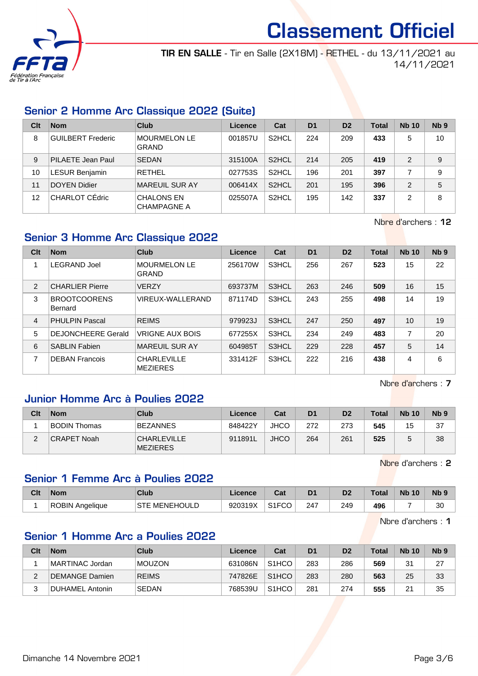

TIR EN SALLE - Tir en Salle (2X18M) - RETHEL - du 13/11/2021 au 14/11/2021

# Senior 2 Homme Arc Classique 2022 (Suite)

| Clt | <b>Nom</b>               | Club                                    | Licence | Cat                | D <sub>1</sub> | D <sub>2</sub> | <b>Total</b> | <b>Nb 10</b> | Nb <sub>9</sub> |
|-----|--------------------------|-----------------------------------------|---------|--------------------|----------------|----------------|--------------|--------------|-----------------|
| 8   | <b>GUILBERT Frederic</b> | <b>MOURMELON LE</b><br><b>GRAND</b>     | 001857U | S <sub>2</sub> HCL | 224            | 209            | 433          | 5            | 10              |
| 9   | PILAETE Jean Paul        | <b>SEDAN</b>                            | 315100A | S <sub>2</sub> HCL | 214            | 205            | 419          | 2            | 9               |
| 10  | <b>LESUR Benjamin</b>    | <b>RETHEL</b>                           | 027753S | S <sub>2</sub> HCL | 196            | 201            | 397          |              | 9               |
| 11  | <b>DOYEN Didier</b>      | <b>MAREUIL SUR AY</b>                   | 006414X | S <sub>2</sub> HCL | 201            | 195            | 396          | 2            | 5               |
| 12  | CHARLOT CEdric           | <b>CHALONS EN</b><br><b>CHAMPAGNE A</b> | 025507A | S <sub>2</sub> HCL | 195            | 142            | 337          | 2            | 8               |

Nbre d'archers : 12

## Senior 3 Homme Arc Classique 2022

| Clt            | <b>Nom</b>                     | Club                                  | Licence | Cat   | D <sub>1</sub> | D <sub>2</sub> | <b>Total</b> | <b>Nb 10</b> | Nb <sub>9</sub> |
|----------------|--------------------------------|---------------------------------------|---------|-------|----------------|----------------|--------------|--------------|-----------------|
| 1              | <b>LEGRAND Joel</b>            | <b>MOURMELON LE</b><br><b>GRAND</b>   | 256170W | S3HCL | 256            | 267            | 523          | 15           | 22              |
| 2              | <b>CHARLIER Pierre</b>         | <b>VERZY</b>                          | 693737M | S3HCL | 263            | 246            | 509          | 16           | 15              |
| 3              | <b>BROOTCOORENS</b><br>Bernard | VIREUX-WALLERAND                      | 871174D | S3HCL | 243            | 255            | 498          | 14           | 19              |
| $\overline{4}$ | <b>PHULPIN Pascal</b>          | <b>REIMS</b>                          | 979923J | S3HCL | 247            | 250            | 497          | 10           | 19              |
| 5              | <b>DEJONCHEERE Gerald</b>      | <b>VRIGNE AUX BOIS</b>                | 677255X | S3HCL | 234            | 249            | 483          | 7            | 20              |
| 6              | <b>SABLIN Fabien</b>           | MAREUIL SUR AY                        | 604985T | S3HCL | 229            | 228            | 457          | 5            | 14              |
| 7              | <b>DEBAN Francois</b>          | <b>CHARLEVILLE</b><br><b>MEZIERES</b> | 331412F | S3HCL | 222            | 216            | 438          | 4            | 6               |

Nbre d'archers : 7

### Junior Homme Arc à Poulies 2022

| Clt         | <b>Nom</b>          | Club                                  | Licence | Cat         | D <sub>1</sub> | D <sub>2</sub> | Total | <b>Nb 10</b> | Nb <sub>9</sub> |
|-------------|---------------------|---------------------------------------|---------|-------------|----------------|----------------|-------|--------------|-----------------|
|             | <b>BODIN Thomas</b> | <b>BEZANNES</b>                       | 848422Y | <b>JHCO</b> | 272            | 273            | 545   | 15           | 37              |
| $\sim$<br>∠ | CRAPET Noah         | <b>CHARLEVILLE</b><br><b>MEZIERES</b> | 911891L | <b>JHCO</b> | 264            | 261            | 525   |              | 38              |

Nbre d'archers : 2

# Senior 1 Femme Arc à Poulies 2022

| Clt | <b>Nom</b>      | Club                    | Licence | r.,<br>val         | D <sub>1</sub> | D <sub>2</sub> | Total | <b>Nb 10</b> | Nb !      |
|-----|-----------------|-------------------------|---------|--------------------|----------------|----------------|-------|--------------|-----------|
|     | ROBIN Anaeliaue | MENEHOULD<br><b>STE</b> | 920319X | S <sub>1</sub> FCO | 247            | 249            | 496   |              | 30<br>ັບບ |

Nbre d'archers : 1

# Senior 1 Homme Arc a Poulies 2022

| Clt    | <b>Nom</b>      | Club          | Licence | Cat                | D <sub>1</sub> | D <sub>2</sub> | <b>Total</b> | <b>Nb 10</b> | N <sub>b</sub> <sub>9</sub> |
|--------|-----------------|---------------|---------|--------------------|----------------|----------------|--------------|--------------|-----------------------------|
|        | MARTINAC Jordan | <b>MOUZON</b> | 631086N | S <sub>1</sub> HCO | 283            | 286            | 569          | 31           | 27                          |
| ົ      | DEMANGE Damien  | <b>REIMS</b>  | 747826E | S <sub>1</sub> HCO | 283            | 280            | 563          | 25           | 33                          |
| າ<br>J | DUHAMEL Antonin | <b>SEDAN</b>  | 768539U | S <sub>1</sub> HCO | 281            | 274            | 555          | 21           | 35                          |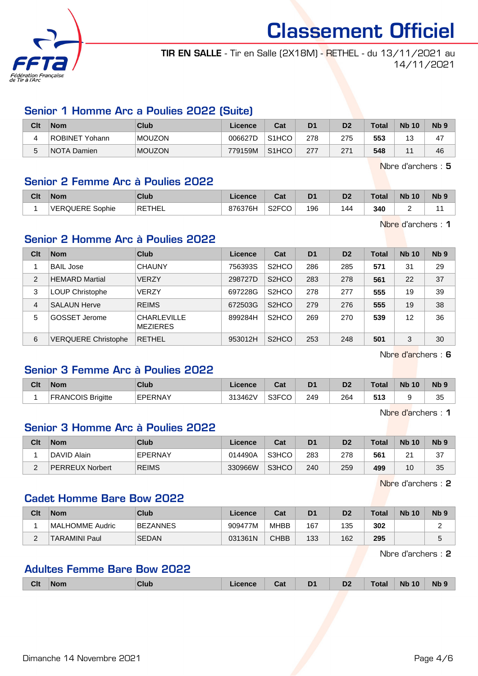

TIR EN SALLE - Tir en Salle (2X18M) - RETHEL - du 13/11/2021 au 14/11/2021

## Senior 1 Homme Arc a Poulies 2022 (Suite)

| Clt | <b>Nom</b>         | Club          | Licence | Cat                | D <sub>1</sub> | D2  | <b>Total</b> | <b>Nb 10</b>             | N <sub>b</sub> <sub>9</sub> |
|-----|--------------------|---------------|---------|--------------------|----------------|-----|--------------|--------------------------|-----------------------------|
|     | ROBINET Yohann     | <b>MOUZON</b> | 006627D | S <sub>1</sub> HCO | 278            | 275 | 553          | $\Delta$<br>ں            | 47                          |
| 5   | <b>NOTA Damien</b> | <b>MOUZON</b> | 779159M | S <sub>1</sub> HCO | 277            | 271 | 548          | $\overline{\phantom{a}}$ | 46                          |

Nbre d'archers : 5

### Senior 2 Femme Arc à Poulies 2022

| Clt | <b>Nom</b>      | Club                | Licence | <b>Cal</b><br>val  | D1  | D <sub>2</sub> | <b>Total</b> | <b>Nb 10</b> | N <sub>b</sub> <sub>9</sub> |
|-----|-----------------|---------------------|---------|--------------------|-----|----------------|--------------|--------------|-----------------------------|
|     | VERQUERE Sophie | <sup>'</sup> RETHEL | 876376H | S <sub>2</sub> FCO | 196 | 144            | 340          |              |                             |

Nbre d'archers : 1

## Senior 2 Homme Arc à Poulies 2022

| Clt            | <b>Nom</b>                 | Club                                  | Licence | Cat                            | D <sub>1</sub> | D <sub>2</sub> | <b>Total</b> | <b>Nb 10</b> | Nb <sub>9</sub> |
|----------------|----------------------------|---------------------------------------|---------|--------------------------------|----------------|----------------|--------------|--------------|-----------------|
|                | BAIL Jose                  | <b>CHAUNY</b>                         | 756393S | S <sub>2</sub> HCO             | 286            | 285            | 571          | 31           | 29              |
| $\overline{2}$ | <b>HEMARD Martial</b>      | <b>VERZY</b>                          | 298727D | S <sub>2</sub> H <sub>CO</sub> | 283            | 278            | 561          | 22           | 37              |
| 3              | LOUP Christophe            | <b>VERZY</b>                          | 697228G | S <sub>2</sub> H <sub>CO</sub> | 278            | 277            | 555          | 19           | 39              |
| 4              | <b>SALAUN Herve</b>        | <b>REIMS</b>                          | 672503G | S <sub>2</sub> HCO             | 279            | 276            | 555          | 19           | 38              |
| 5              | <b>GOSSET Jerome</b>       | <b>CHARLEVILLE</b><br><b>MEZIERES</b> | 899284H | S <sub>2</sub> H <sub>CO</sub> | 269            | 270            | 539          | 12           | 36              |
| 6              | <b>VERQUERE Christophe</b> | <b>RETHEL</b>                         | 953012H | S <sub>2</sub> HCO             | 253            | 248            | 501          | 3            | 30              |

Nbre d'archers : 6

# Senior 3 Femme Arc à Poulies 2022

| Clt | <b>Nom</b>             | <b>Club</b>   | Licence | ◠⌒ィ<br>uai | D <sub>1</sub> | D <sub>2</sub> | Total | <b>N<sub>b</sub></b><br>10 | $Nb$ $\circ$ |
|-----|------------------------|---------------|---------|------------|----------------|----------------|-------|----------------------------|--------------|
|     | <b>ANCOIS Brigitte</b> | FPFRNAY<br>-- | 313462V | S3FCO      | 249            | 264            | 513   |                            | 25<br>ບບ     |

Nbre d'archers : 1

## Senior 3 Homme Arc à Poulies 2022

| Clt    | <b>Nom</b>             | Club           | Licence | Cat   | D1  | D <sub>2</sub> | <b>Total</b> | <b>Nb 10</b>  | Nb 9 |
|--------|------------------------|----------------|---------|-------|-----|----------------|--------------|---------------|------|
|        | DAVID Alain            | <b>EPERNAY</b> | 014490A | S3HCO | 283 | 278            | 561          | ົ<br><u>.</u> | 37   |
| ⌒<br>- | <b>PERREUX Norbert</b> | <b>REIMS</b>   | 330966W | S3HCO | 240 | 259            | 499          | 10            | 35   |

Nbre d'archers : 2

### Cadet Homme Bare Bow 2022

| Clt      | <b>Nom</b>           | Club         | Licence | Cat         | D <sub>1</sub> | D <sub>2</sub> | <b>Total</b> | <b>Nb 10</b> | N <sub>b</sub> <sub>9</sub> |
|----------|----------------------|--------------|---------|-------------|----------------|----------------|--------------|--------------|-----------------------------|
|          | MALHOMME Audric      | BEZANNES     | 909477M | <b>MHBB</b> | 167            | 135            | 302          |              |                             |
| <u>.</u> | <b>TARAMINI Paul</b> | <b>SEDAN</b> | 031361N | <b>CHBB</b> | 133            | 162            | 295          |              |                             |

Nbre d'archers : 2

## Adultes Femme Bare Bow 2022

| <b>Nb</b><br>Jat<br>- | Clt<br>DA.<br>D2<br><b>Nb</b><br>10<br>Club<br>Γotal<br>'Nom<br>cence |
|-----------------------|-----------------------------------------------------------------------|
|-----------------------|-----------------------------------------------------------------------|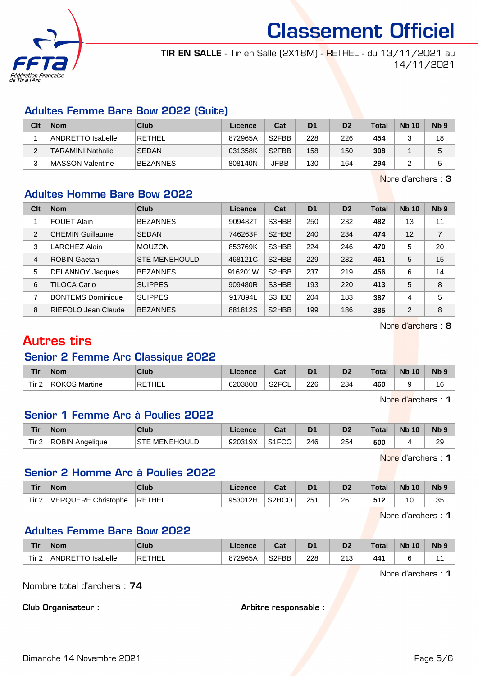

TIR EN SALLE - Tir en Salle (2X18M) - RETHEL - du 13/11/2021 au 14/11/2021

## Adultes Femme Bare Bow 2022 (Suite)

| Clt | <b>Nom</b>               | Club         | Licence | Cat                | D <sub>1</sub> | D <sub>2</sub> | Total | <b>Nb 10</b> | N <sub>b</sub> <sub>9</sub> |
|-----|--------------------------|--------------|---------|--------------------|----------------|----------------|-------|--------------|-----------------------------|
|     | ANDRETTO Isabelle        | RETHEL       | 872965A | S <sub>2</sub> FBB | 228            | 226            | 454   |              | 18                          |
|     | <b>TARAMINI Nathalie</b> | <b>SEDAN</b> | 031358K | S <sub>2</sub> FBB | 158            | 150            | 308   |              |                             |
|     | MASSON Valentine         | BEZANNES     | 808140N | <b>JFBB</b>        | 130            | 164            | 294   |              |                             |

Nbre d'archers : 3

## Adultes Homme Bare Bow 2022

| Clt            | <b>Nom</b>               | Club                 | Licence | Cat                | D <sub>1</sub> | D <sub>2</sub> | <b>Total</b> | <b>Nb 10</b> | Nb <sub>9</sub> |
|----------------|--------------------------|----------------------|---------|--------------------|----------------|----------------|--------------|--------------|-----------------|
|                | <b>FOUET Alain</b>       | <b>BEZANNES</b>      | 909482T | S3HBB              | 250            | 232            | 482          | 13           | 11              |
| 2              | <b>CHEMIN Guillaume</b>  | <b>SEDAN</b>         | 746263F | S <sub>2</sub> HBB | 240            | 234            | 474          | 12           | $\overline{7}$  |
| 3              | <b>LARCHEZ Alain</b>     | <b>MOUZON</b>        | 853769K | S3HBB              | 224            | 246            | 470          | 5            | 20              |
| $\overline{4}$ | <b>ROBIN Gaetan</b>      | <b>STE MENEHOULD</b> | 468121C | S2HBB              | 229            | 232            | 461          | 5            | 15              |
| 5              | <b>DELANNOY Jacques</b>  | <b>BEZANNES</b>      | 916201W | S <sub>2</sub> HBB | 237            | 219            | 456          | 6            | 14              |
| 6              | TILOCA Carlo             | <b>SUIPPES</b>       | 909480R | S3HBB              | 193            | 220            | 413          | 5            | 8               |
| 7              | <b>BONTEMS Dominique</b> | <b>SUIPPES</b>       | 917894L | S3HBB              | 204            | 183            | 387          | 4            | 5               |
| 8              | RIEFOLO Jean Claude      | <b>BEZANNES</b>      | 881812S | S2HBB              | 199            | 186            | 385          | 2            | 8               |

Nbre d'archers : 8

# Autres tirs

# Senior 2 Femme Arc Classique 2022

| <b>Tir</b>                   | <b>Nom</b>    | Club   | Licence | ∩~∙<br>⊍αι               | D <sub>1</sub> | D2  | ™otal | <b>N<sub>b</sub></b><br>10 | $Nb$ $9$ |
|------------------------------|---------------|--------|---------|--------------------------|----------------|-----|-------|----------------------------|----------|
| Tir <sub>2</sub><br><u>.</u> | ROKOS Martine | RETHEL | 620380B | S <sub>2</sub> FCL<br>−∟ | 226            | 234 | 460   |                            | 16       |

Nbre d'archers : 1

### Senior 1 Femme Arc à Poulies 2022

| Tir   | <b>Nom</b>      | Club                      | Licence | ◠؞+<br>⊍ou         | D <sub>1</sub> | D <sub>2</sub> | $\tau$ otal | <b>N<sub>b</sub></b><br>10 | N <sub>b</sub> <sub>9</sub> |
|-------|-----------------|---------------------------|---------|--------------------|----------------|----------------|-------------|----------------------------|-----------------------------|
| Tir 2 | ROBIN Angelique | : MENEHOULD<br><b>STE</b> | 920319X | S <sub>1</sub> FCO | 246            | 254            | 500         |                            | 29                          |

Nbre d'archers : 1

## Senior 2 Homme Arc à Poulies 2022

| Tir              | <b>Nom</b>          | Club   | Licence | ∩~∙<br>⊍aι         | D <sub>1</sub> | D <sub>2</sub> | ™otal | <b>Nb 10</b> | Nb <sub>9</sub> |
|------------------|---------------------|--------|---------|--------------------|----------------|----------------|-------|--------------|-----------------|
| Tir <sub>2</sub> | VERQUERE Christophe | RETHEL | 953012H | S <sub>2</sub> HCO | 251            | 261            | 512   | 10           | つら<br>ບບ        |

Nbre d'archers : 1

## Adultes Femme Bare Bow 2022

| <b>Tir</b> | <b>Nom</b>                  | <b>Club</b> | Licence | $R_{\alpha}$<br>ua | D <sub>1</sub> | D2            | <b>Total</b> | <b>N<sub>b</sub></b><br>10 | <b>N<sub>b</sub></b> |
|------------|-----------------------------|-------------|---------|--------------------|----------------|---------------|--------------|----------------------------|----------------------|
| Tir 2      | <b>ANDRETTO</b><br>Isabelle | RETHEL      | 872965A | S <sub>2</sub> FBB | 228            | ດ 4 ດ<br>ں اے | 441          |                            |                      |

Nbre d'archers : 1

Nombre total d'archers : 74

Club Organisateur : Arbitre responsable :